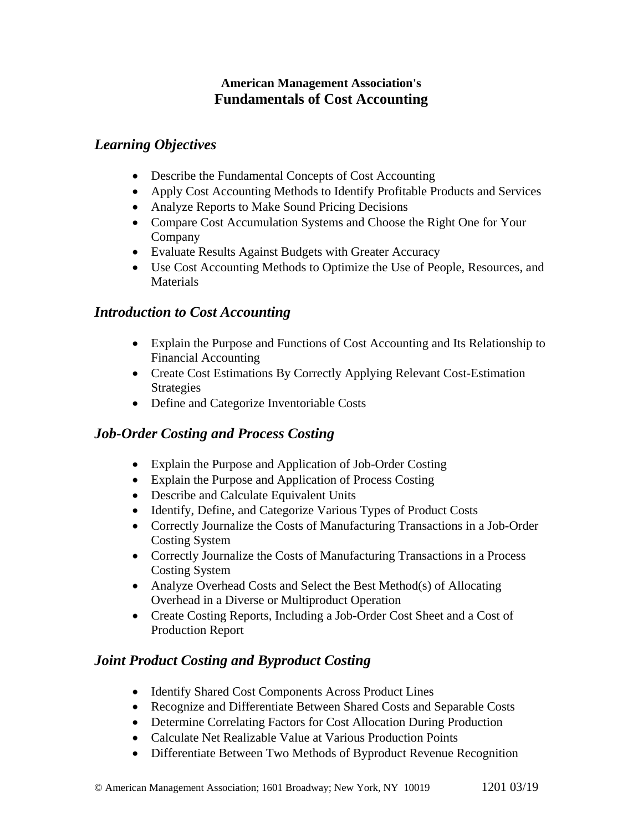### **American Management Association's Fundamentals of Cost Accounting**

# *Learning Objectives*

- Describe the Fundamental Concepts of Cost Accounting
- Apply Cost Accounting Methods to Identify Profitable Products and Services
- Analyze Reports to Make Sound Pricing Decisions
- Compare Cost Accumulation Systems and Choose the Right One for Your Company
- Evaluate Results Against Budgets with Greater Accuracy
- Use Cost Accounting Methods to Optimize the Use of People, Resources, and Materials

# *Introduction to Cost Accounting*

- Explain the Purpose and Functions of Cost Accounting and Its Relationship to Financial Accounting
- Create Cost Estimations By Correctly Applying Relevant Cost-Estimation Strategies
- Define and Categorize Inventoriable Costs

# *Job-Order Costing and Process Costing*

- Explain the Purpose and Application of Job-Order Costing
- Explain the Purpose and Application of Process Costing
- Describe and Calculate Equivalent Units
- Identify, Define, and Categorize Various Types of Product Costs
- Correctly Journalize the Costs of Manufacturing Transactions in a Job-Order Costing System
- Correctly Journalize the Costs of Manufacturing Transactions in a Process Costing System
- Analyze Overhead Costs and Select the Best Method(s) of Allocating Overhead in a Diverse or Multiproduct Operation
- Create Costing Reports, Including a Job-Order Cost Sheet and a Cost of Production Report

# *Joint Product Costing and Byproduct Costing*

- Identify Shared Cost Components Across Product Lines
- Recognize and Differentiate Between Shared Costs and Separable Costs
- Determine Correlating Factors for Cost Allocation During Production
- Calculate Net Realizable Value at Various Production Points
- Differentiate Between Two Methods of Byproduct Revenue Recognition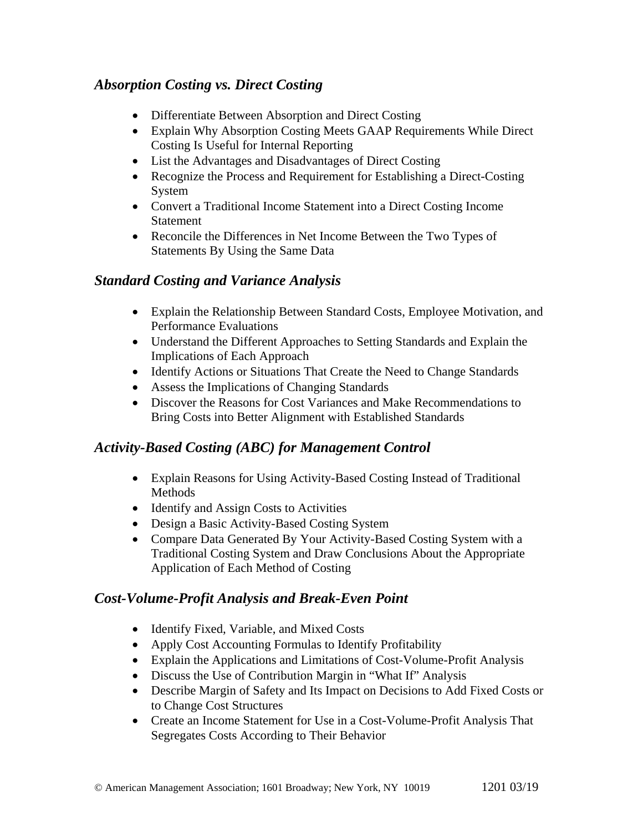# *Absorption Costing vs. Direct Costing*

- Differentiate Between Absorption and Direct Costing
- Explain Why Absorption Costing Meets GAAP Requirements While Direct Costing Is Useful for Internal Reporting
- List the Advantages and Disadvantages of Direct Costing
- Recognize the Process and Requirement for Establishing a Direct-Costing System
- Convert a Traditional Income Statement into a Direct Costing Income Statement
- Reconcile the Differences in Net Income Between the Two Types of Statements By Using the Same Data

### *Standard Costing and Variance Analysis*

- Explain the Relationship Between Standard Costs, Employee Motivation, and Performance Evaluations
- Understand the Different Approaches to Setting Standards and Explain the Implications of Each Approach
- Identify Actions or Situations That Create the Need to Change Standards
- Assess the Implications of Changing Standards
- Discover the Reasons for Cost Variances and Make Recommendations to Bring Costs into Better Alignment with Established Standards

# *Activity-Based Costing (ABC) for Management Control*

- Explain Reasons for Using Activity-Based Costing Instead of Traditional Methods
- Identify and Assign Costs to Activities
- Design a Basic Activity-Based Costing System
- Compare Data Generated By Your Activity-Based Costing System with a Traditional Costing System and Draw Conclusions About the Appropriate Application of Each Method of Costing

# *Cost-Volume-Profit Analysis and Break-Even Point*

- Identify Fixed, Variable, and Mixed Costs
- Apply Cost Accounting Formulas to Identify Profitability
- Explain the Applications and Limitations of Cost-Volume-Profit Analysis
- Discuss the Use of Contribution Margin in "What If" Analysis
- Describe Margin of Safety and Its Impact on Decisions to Add Fixed Costs or to Change Cost Structures
- Create an Income Statement for Use in a Cost-Volume-Profit Analysis That Segregates Costs According to Their Behavior